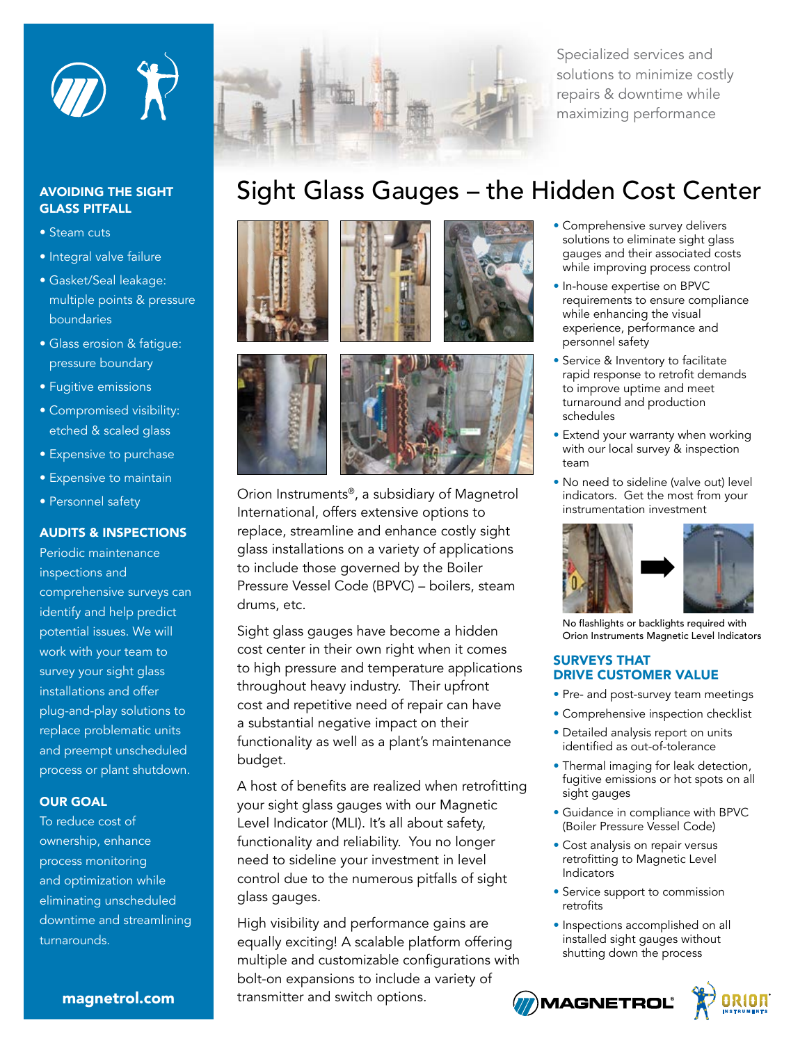

## AVOIDING THE SIGHT GLASS PITFALL

- Steam cuts
- Integral valve failure
- Gasket/Seal leakage: multiple points & pressure boundaries
- Glass erosion & fatigue: pressure boundary
- Fugitive emissions
- Compromised visibility: etched & scaled glass
- Expensive to purchase
- Expensive to maintain
- Personnel safety

## AUDITS & INSPECTIONS

Periodic maintenance inspections and comprehensive surveys can identify and help predict potential issues. We will work with your team to survey your sight glass installations and offer plug-and-play solutions to replace problematic units and preempt unscheduled process or plant shutdown.

## OUR GOAL

To reduce cost of ownership, enhance process monitoring and optimization while eliminating unscheduled downtime and streamlining turnarounds.



Specialized services and solutions to minimize costly repairs & downtime while maximizing performance

# Sight Glass Gauges – the Hidden Cost Center







Orion Instruments®, a subsidiary of Magnetrol International, offers extensive options to replace, streamline and enhance costly sight glass installations on a variety of applications to include those governed by the Boiler Pressure Vessel Code (BPVC) – boilers, steam drums, etc.

Sight glass gauges have become a hidden cost center in their own right when it comes to high pressure and temperature applications throughout heavy industry. Their upfront cost and repetitive need of repair can have a substantial negative impact on their functionality as well as a plant's maintenance budget.

A host of benefits are realized when retrofitting your sight glass gauges with our Magnetic Level Indicator (MLI). It's all about safety, functionality and reliability. You no longer need to sideline your investment in level control due to the numerous pitfalls of sight glass gauges.

High visibility and performance gains are equally exciting! A scalable platform offering multiple and customizable configurations with bolt-on expansions to include a variety of transmitter and switch options. **MAGNETROL** 

- Comprehensive survey delivers solutions to eliminate sight glass gauges and their associated costs while improving process control
- In-house expertise on BPVC requirements to ensure compliance while enhancing the visual experience, performance and personnel safety
- Service & Inventory to facilitate rapid response to retrofit demands to improve uptime and meet turnaround and production schedules
- Extend your warranty when working with our local survey & inspection team
- No need to sideline (valve out) level indicators. Get the most from your instrumentation investment



No flashlights or backlights required with Orion Instruments Magnetic Level Indicators

#### SURVEYS THAT DRIVE CUSTOMER VALUE

- Pre- and post-survey team meetings
- Comprehensive inspection checklist
- Detailed analysis report on units identified as out-of-tolerance
- Thermal imaging for leak detection, fugitive emissions or hot spots on all sight gauges
- Guidance in compliance with BPVC (Boiler Pressure Vessel Code)
- Cost analysis on repair versus retrofitting to Magnetic Level **Indicators**
- Service support to commission retrofits
- Inspections accomplished on all installed sight gauges without shutting down the process